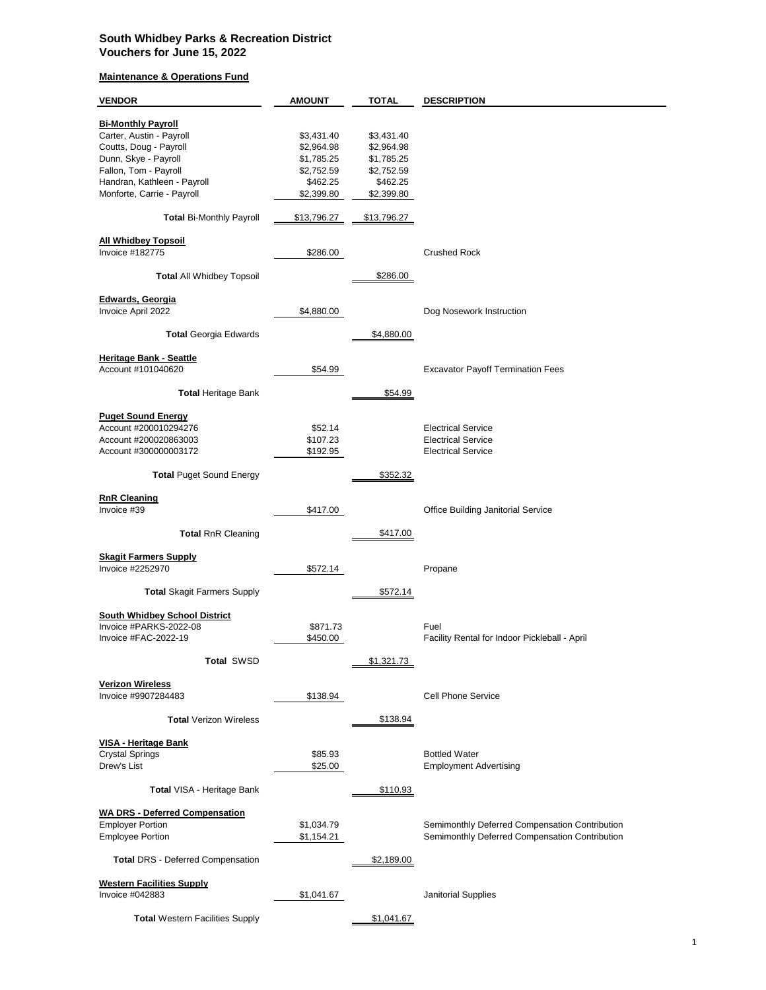## **South Whidbey Parks & Recreation District Vouchers for June 15, 2022**

## **Maintenance & Operations Fund**

| <b>VENDOR</b>                                        | <b>AMOUNT</b>            | <b>TOTAL</b> | <b>DESCRIPTION</b>                                                                               |
|------------------------------------------------------|--------------------------|--------------|--------------------------------------------------------------------------------------------------|
|                                                      |                          |              |                                                                                                  |
| <b>Bi-Monthly Payroll</b>                            |                          |              |                                                                                                  |
| Carter, Austin - Payroll                             | \$3,431.40               | \$3,431.40   |                                                                                                  |
| Coutts, Doug - Payroll                               | \$2,964.98               | \$2,964.98   |                                                                                                  |
| Dunn, Skye - Payroll                                 | \$1,785.25               | \$1,785.25   |                                                                                                  |
| Fallon, Tom - Payroll                                | \$2,752.59               | \$2,752.59   |                                                                                                  |
| Handran, Kathleen - Payroll                          | \$462.25                 | \$462.25     |                                                                                                  |
| Monforte, Carrie - Payroll                           | \$2,399.80               | \$2,399.80   |                                                                                                  |
| <b>Total Bi-Monthly Payroll</b>                      | \$13,796.27              | \$13,796.27  |                                                                                                  |
|                                                      |                          |              |                                                                                                  |
| <b>All Whidbey Topsoil</b>                           |                          |              |                                                                                                  |
| Invoice #182775                                      | \$286.00                 |              | <b>Crushed Rock</b>                                                                              |
| <b>Total All Whidbey Topsoil</b>                     |                          | \$286.00     |                                                                                                  |
|                                                      |                          |              |                                                                                                  |
| <b>Edwards, Georgia</b>                              |                          |              |                                                                                                  |
| Invoice April 2022                                   | \$4,880.00               |              | Dog Nosework Instruction                                                                         |
|                                                      |                          |              |                                                                                                  |
| <b>Total Georgia Edwards</b>                         |                          | \$4,880.00   |                                                                                                  |
|                                                      |                          |              |                                                                                                  |
| <b>Heritage Bank - Seattle</b><br>Account #101040620 | \$54.99                  |              | <b>Excavator Payoff Termination Fees</b>                                                         |
|                                                      |                          |              |                                                                                                  |
| <b>Total Heritage Bank</b>                           |                          | \$54.99      |                                                                                                  |
|                                                      |                          |              |                                                                                                  |
| <b>Puget Sound Energy</b>                            |                          |              |                                                                                                  |
| Account #200010294276                                | \$52.14                  |              | <b>Electrical Service</b>                                                                        |
| Account #200020863003                                | \$107.23                 |              | <b>Electrical Service</b>                                                                        |
| Account #300000003172                                | \$192.95                 |              | <b>Electrical Service</b>                                                                        |
|                                                      |                          |              |                                                                                                  |
| <b>Total Puget Sound Energy</b>                      |                          | \$352.32     |                                                                                                  |
| <b>RnR Cleaning</b>                                  |                          |              |                                                                                                  |
| Invoice #39                                          | \$417.00                 |              | <b>Office Building Janitorial Service</b>                                                        |
|                                                      |                          |              |                                                                                                  |
| <b>Total RnR Cleaning</b>                            |                          | \$417.00     |                                                                                                  |
|                                                      |                          |              |                                                                                                  |
| <b>Skagit Farmers Supply</b>                         |                          |              |                                                                                                  |
| Invoice #2252970                                     | \$572.14                 |              | Propane                                                                                          |
|                                                      |                          |              |                                                                                                  |
| <b>Total Skagit Farmers Supply</b>                   |                          | \$572.14     |                                                                                                  |
| <b>South Whidbey School District</b>                 |                          |              |                                                                                                  |
| Invoice #PARKS-2022-08                               |                          |              | Fuel                                                                                             |
| Invoice #FAC-2022-19                                 | \$871.73<br>\$450.00     |              | Facility Rental for Indoor Pickleball - April                                                    |
|                                                      |                          |              |                                                                                                  |
| <b>Total SWSD</b>                                    |                          | \$1,321.73   |                                                                                                  |
|                                                      |                          |              |                                                                                                  |
| <b>Verizon Wireless</b>                              |                          |              |                                                                                                  |
| Invoice #9907284483                                  | \$138.94                 |              | Cell Phone Service                                                                               |
|                                                      |                          |              |                                                                                                  |
| <b>Total Verizon Wireless</b>                        |                          | \$138.94     |                                                                                                  |
|                                                      |                          |              |                                                                                                  |
| <b>VISA - Heritage Bank</b>                          |                          |              |                                                                                                  |
| <b>Crystal Springs</b>                               | \$85.93                  |              | <b>Bottled Water</b>                                                                             |
| Drew's List                                          | \$25.00                  |              | <b>Employment Advertising</b>                                                                    |
| <b>Total VISA - Heritage Bank</b>                    |                          | \$110.93     |                                                                                                  |
| <b>WA DRS - Deferred Compensation</b>                |                          |              |                                                                                                  |
|                                                      |                          |              |                                                                                                  |
| <b>Employer Portion</b><br><b>Employee Portion</b>   | \$1,034.79<br>\$1,154.21 |              | Semimonthly Deferred Compensation Contribution<br>Semimonthly Deferred Compensation Contribution |
|                                                      |                          |              |                                                                                                  |
| <b>Total DRS - Deferred Compensation</b>             |                          | \$2,189.00   |                                                                                                  |
| <b>Western Facilities Supply</b>                     |                          |              |                                                                                                  |
| Invoice #042883                                      | \$1,041.67               |              | <b>Janitorial Supplies</b>                                                                       |
|                                                      |                          |              |                                                                                                  |
| <b>Total Western Facilities Supply</b>               |                          | \$1,041.67   |                                                                                                  |
|                                                      |                          |              |                                                                                                  |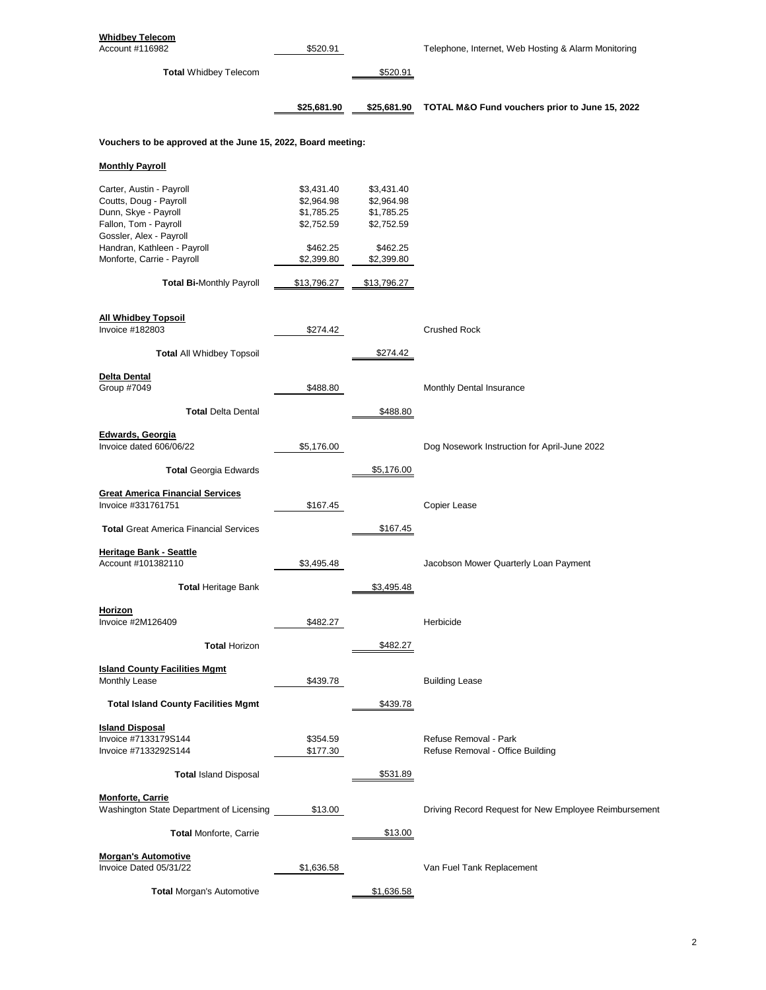| <b>Whidbey Telecom</b><br>Account #116982                                                                                                                                                   | \$520.91                                                                       |                                                                                | Telephone, Internet, Web Hosting & Alarm Monitoring       |
|---------------------------------------------------------------------------------------------------------------------------------------------------------------------------------------------|--------------------------------------------------------------------------------|--------------------------------------------------------------------------------|-----------------------------------------------------------|
| <b>Total Whidbey Telecom</b>                                                                                                                                                                |                                                                                | \$520.91                                                                       |                                                           |
|                                                                                                                                                                                             | \$25,681.90                                                                    | \$25,681.90                                                                    | TOTAL M&O Fund vouchers prior to June 15, 2022            |
| Vouchers to be approved at the June 15, 2022, Board meeting:                                                                                                                                |                                                                                |                                                                                |                                                           |
| <b>Monthly Payroll</b>                                                                                                                                                                      |                                                                                |                                                                                |                                                           |
| Carter, Austin - Payroll<br>Coutts, Doug - Payroll<br>Dunn, Skye - Payroll<br>Fallon, Tom - Payroll<br>Gossler, Alex - Payroll<br>Handran, Kathleen - Payroll<br>Monforte, Carrie - Payroll | \$3,431.40<br>\$2,964.98<br>\$1,785.25<br>\$2,752.59<br>\$462.25<br>\$2,399.80 | \$3,431.40<br>\$2,964.98<br>\$1,785.25<br>\$2,752.59<br>\$462.25<br>\$2,399.80 |                                                           |
| <b>Total Bi-Monthly Payroll</b>                                                                                                                                                             | \$13,796.27                                                                    | \$13,796.27                                                                    |                                                           |
| <b>All Whidbey Topsoil</b><br><b>Invoice #182803</b>                                                                                                                                        | \$274.42                                                                       |                                                                                | <b>Crushed Rock</b>                                       |
| <b>Total All Whidbey Topsoil</b>                                                                                                                                                            |                                                                                | \$274.42                                                                       |                                                           |
| Delta Dental<br>Group #7049                                                                                                                                                                 | \$488.80                                                                       |                                                                                | Monthly Dental Insurance                                  |
| <b>Total Delta Dental</b>                                                                                                                                                                   |                                                                                | \$488.80                                                                       |                                                           |
| <b>Edwards, Georgia</b><br>Invoice dated 606/06/22                                                                                                                                          | \$5,176.00                                                                     |                                                                                | Dog Nosework Instruction for April-June 2022              |
| <b>Total Georgia Edwards</b>                                                                                                                                                                |                                                                                | \$5,176.00                                                                     |                                                           |
| <b>Great America Financial Services</b><br>Invoice #331761751                                                                                                                               | \$167.45                                                                       |                                                                                | Copier Lease                                              |
| <b>Total Great America Financial Services</b>                                                                                                                                               |                                                                                | \$167.45                                                                       |                                                           |
| <b>Heritage Bank - Seattle</b><br>Account #101382110                                                                                                                                        | \$3,495.48                                                                     |                                                                                | Jacobson Mower Quarterly Loan Payment                     |
| <b>Total Heritage Bank</b>                                                                                                                                                                  |                                                                                | \$3,495.48                                                                     |                                                           |
| <b>Horizon</b><br>Invoice #2M126409                                                                                                                                                         | \$482.27                                                                       |                                                                                | Herbicide                                                 |
| <b>Total Horizon</b>                                                                                                                                                                        |                                                                                | \$482.27                                                                       |                                                           |
| <b>Island County Facilities Mgmt</b><br>Monthly Lease                                                                                                                                       | \$439.78                                                                       |                                                                                | <b>Building Lease</b>                                     |
| <b>Total Island County Facilities Mgmt</b>                                                                                                                                                  |                                                                                | \$439.78                                                                       |                                                           |
| <u><b>Island Disposal</b></u><br>Invoice #7133179S144<br>Invoice #7133292S144                                                                                                               | \$354.59<br>\$177.30                                                           |                                                                                | Refuse Removal - Park<br>Refuse Removal - Office Building |
| <b>Total Island Disposal</b>                                                                                                                                                                |                                                                                | \$531.89                                                                       |                                                           |
| <b>Monforte, Carrie</b><br>Washington State Department of Licensing                                                                                                                         | \$13.00                                                                        |                                                                                | Driving Record Request for New Employee Reimbursement     |
| <b>Total Monforte, Carrie</b>                                                                                                                                                               |                                                                                | \$13.00                                                                        |                                                           |
| <b>Morgan's Automotive</b><br>Invoice Dated 05/31/22                                                                                                                                        | \$1,636.58                                                                     |                                                                                | Van Fuel Tank Replacement                                 |
| <b>Total Morgan's Automotive</b>                                                                                                                                                            |                                                                                | \$1,636.58                                                                     |                                                           |